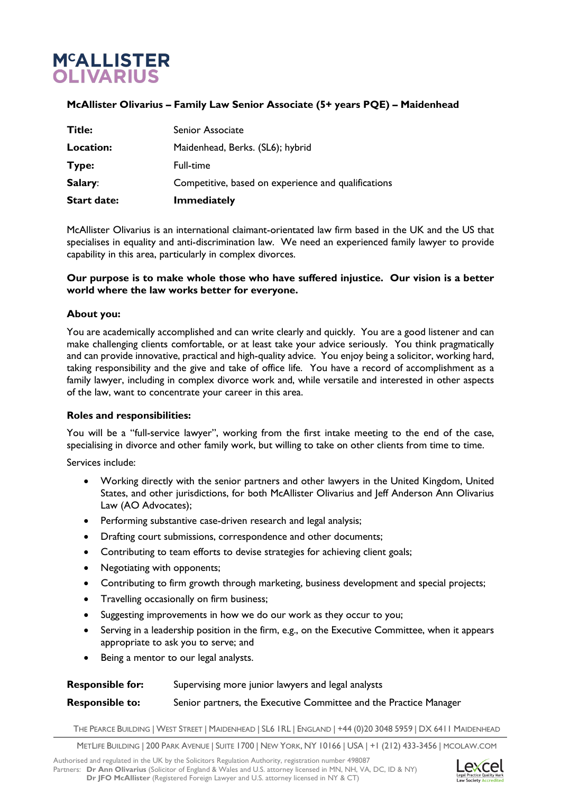# **M<sup>C</sup>ALLISTER OLIVARIUS**

# **McAllister Olivarius – Family Law Senior Associate (5+ years PQE) – Maidenhead**

| <b>Start date:</b> | <b>Immediately</b>                                  |
|--------------------|-----------------------------------------------------|
| Salary:            | Competitive, based on experience and qualifications |
| Type:              | Full-time                                           |
| Location:          | Maidenhead, Berks. (SL6); hybrid                    |
| <b>Title:</b>      | Senior Associate                                    |

McAllister Olivarius is an international claimant-orientated law firm based in the UK and the US that specialises in equality and anti-discrimination law. We need an experienced family lawyer to provide capability in this area, particularly in complex divorces.

## **Our purpose is to make whole those who have suffered injustice. Our vision is a better world where the law works better for everyone.**

## **About you:**

You are academically accomplished and can write clearly and quickly. You are a good listener and can make challenging clients comfortable, or at least take your advice seriously. You think pragmatically and can provide innovative, practical and high-quality advice. You enjoy being a solicitor, working hard, taking responsibility and the give and take of office life. You have a record of accomplishment as a family lawyer, including in complex divorce work and, while versatile and interested in other aspects of the law, want to concentrate your career in this area.

#### **Roles and responsibilities:**

You will be a "full-service lawyer", working from the first intake meeting to the end of the case, specialising in divorce and other family work, but willing to take on other clients from time to time.

Services include:

- Working directly with the senior partners and other lawyers in the United Kingdom, United States, and other jurisdictions, for both McAllister Olivarius and Jeff Anderson Ann Olivarius Law (AO Advocates);
- Performing substantive case-driven research and legal analysis;
- Drafting court submissions, correspondence and other documents;
- Contributing to team efforts to devise strategies for achieving client goals;
- Negotiating with opponents;
- Contributing to firm growth through marketing, business development and special projects;
- Travelling occasionally on firm business;
- Suggesting improvements in how we do our work as they occur to you;
- Serving in a leadership position in the firm, e.g., on the Executive Committee, when it appears appropriate to ask you to serve; and
- Being a mentor to our legal analysts.

# **Responsible for:** Supervising more junior lawyers and legal analysts

#### **Responsible to:** Senior partners, the Executive Committee and the Practice Manager

THE PEARCE BUILDING | WEST STREET | MAIDENHEAD | SL6 1RL | ENGLAND | +44 (0)20 3048 5959 | DX 6411 MAIDENHEAD

METLIFE BUILDING | 200 PARK AVENUE | SUITE 1700 | NEW YORK, NY 10166 | USA | +1 (212) 433-3456 | MCOLAW.COM